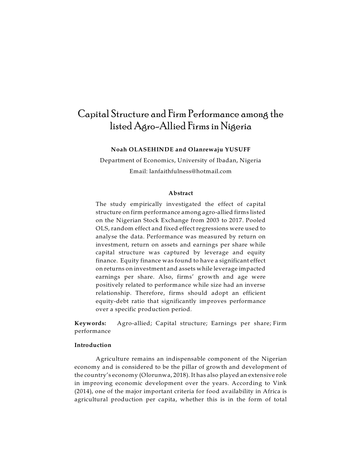# Capital Structure and FirmPerformance among the listed Agro-Allied Firms in Nigeria

**Noah OLASEHINDE and Olanrewaju YUSUFF**

Department of Economics, University of Ibadan, Nigeria Email: lanfaithfulness@hotmail.com

### **Abstract**

The study empirically investigated the effect of capital structure on firm performance among agro-allied firms listed on the Nigerian Stock Exchange from 2003 to 2017. Pooled OLS, random effect and fixed effect regressions were used to analyse the data. Performance was measured by return on investment, return on assets and earnings per share while capital structure was captured by leverage and equity finance. Equity finance was found to have a significant effect on returns on investment and assets while leverage impacted earnings per share. Also, firms' growth and age were positively related to performance while size had an inverse relationship. Therefore, firms should adopt an efficient equity-debt ratio that significantly improves performance over a specific production period.

**Keywords:** Agro-allied; Capital structure; Earnings per share; Firm performance

# **Introduction**

Agriculture remains an indispensable component of the Nigerian economy and is considered to be the pillar of growth and development of the country's economy (Olorunwa, 2018). It has also played an extensive role in improving economic development over the years. According to Vink (2014), one of the major important criteria for food availability in Africa is agricultural production per capita, whether this is in the form of total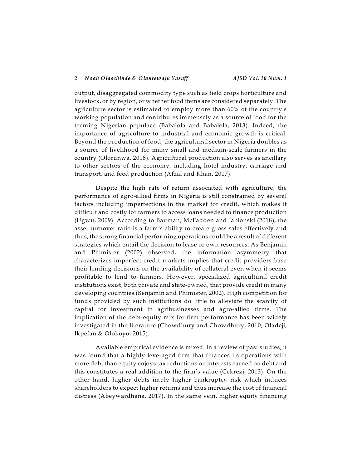output, disaggregated commodity type such as field crops horticulture and livestock, or by region, or whether food items are considered separately. The agriculture sector is estimated to employ more than 60% of the country's working population and contributes immensely as a source of food for the teeming Nigerian populace (Babalola and Babalola, 2013). Indeed, the importance of agriculture to industrial and economic growth is critical. Beyond the production of food, the agricultural sector in Nigeria doubles as a source of livelihood for many small and medium-scale farmers in the country (Olorunwa, 2018). Agricultural production also serves as ancillary to other sectors of the economy, including hotel industry, carriage and transport, and feed production (Afzal and Khan, 2017).

Despite the high rate of return associated with agriculture, the performance of agro-allied firms in Nigeria is still constrained by several factors including imperfections in the market for credit, which makes it difficult and costly for farmers to access loans needed to finance production (Ugwu, 2009). According to Bauman, McFadden and Jablonski (2018), the asset turnover ratio is a farm's ability to create gross sales effectively and thus, the strong financial performing operations could be a result of different strategies which entail the decision to lease or own resources. As Benjamin and Phimister (2002) observed, the information asymmetry that characterizes imperfect credit markets implies that credit providers base their lending decisions on the availability of collateral even when it seems profitable to lend to farmers. However, specialized agricultural credit institutions exist, both private and state-owned, that provide credit in many developing countries (Benjamin and Phimister, 2002). High competition for funds provided by such institutions do little to alleviate the scarcity of capital for investment in agribusinesses and agro-allied firms. The implication of the debt-equity mix for firm performance has been widely investigated in the literature (Chowdhury and Chowdhury, 2010; Oladeji, Ikpefan & Olokoyo, 2015).

Available empirical evidence is mixed. In a review of past studies, it was found that a highly leveraged firm that finances its operations with more debt than equity enjoys tax reductions on interests earned on debt and this constitutes a real addition to the firm's value (Cekrezi, 2013). On the other hand, higher debts imply higher bankruptcy risk which induces shareholders to expect higher returns and thus increase the cost of financial distress (Abeywardhana, 2017). In the same vein, higher equity financing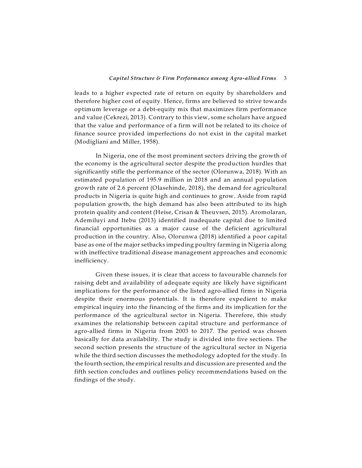### *Capital Structure & Firm Performance among Agro-allied Firms* 3

leads to a higher expected rate of return on equity by shareholders and therefore higher cost of equity. Hence, firms are believed to strive towards optimum leverage or a debt-equity mix that maximizes firm performance and value (Cekrezi, 2013). Contrary to this view, some scholars have argued that the value and performance of a firm will not be related to its choice of finance source provided imperfections do not exist in the capital market (Modigliani and Miller, 1958).

In Nigeria, one of the most prominent sectors driving the growth of the economy is the agricultural sector despite the production hurdles that significantly stifle the performance of the sector (Olorunwa, 2018). With an estimated population of 195.9 million in 2018 and an annual population growth rate of 2.6 percent (Olasehinde, 2018), the demand for agricultural products in Nigeria is quite high and continues to grow. Aside from rapid population growth, the high demand has also been attributed to its high protein quality and content (Heise, Crisan & Theuvsen, 2015). Aromolaran, Ademiluyi and Itebu (2013) identified inadequate capital due to limited financial opportunities as a major cause of the deficient agricultural production in the country. Also, Olorunwa (2018) identified a poor capital base as one of the major setbacks impeding poultry farming in Nigeria along with ineffective traditional disease management approaches and economic inefficiency.

Given these issues, it is clear that access to favourable channels for raising debt and availability of adequate equity are likely have significant implications for the performance of the listed agro-allied firms in Nigeria despite their enormous potentials. It is therefore expedient to make empirical inquiry into the financing of the firms and its implication for the performance of the agricultural sector in Nigeria. Therefore, this study examines the relationship between capital structure and performance of agro-allied firms in Nigeria from 2003 to 2017. The period was chosen basically for data availability. The study is divided into five sections. The second section presents the structure of the agricultural sector in Nigeria while the third section discusses the methodology adopted for the study. In the fourth section, the empirical results and discussion are presented and the fifth section concludes and outlines policy recommendations based on the findings of the study.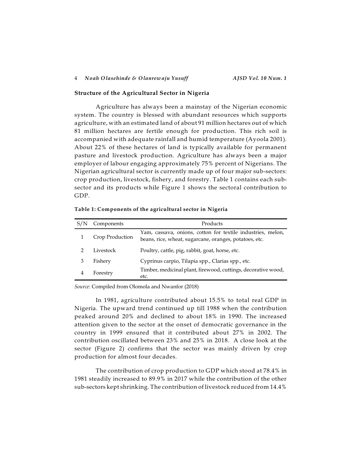### **Structure of the Agricultural Sector in Nigeria**

Agriculture has always been a mainstay of the Nigerian economic system. The country is blessed with abundant resources which supports agriculture, with an estimated land of about 91 million hectares out of which 81 million hectares are fertile enough for production. This rich soil is accompanied with adequate rainfall and humid temperature (Ayoola 2001). About 22% of these hectares of land is typically available for permanent pasture and livestock production. Agriculture has always been a major employer of labour engaging approximately 75% percent of Nigerians. The Nigerian agricultural sector is currently made up of four major sub-sectors: crop production, livestock, fishery, and forestry. Table 1 contains each subsector and its products while Figure 1 shows the sectoral contribution to GDP.

| Components      | Products                                                                                                              |  |
|-----------------|-----------------------------------------------------------------------------------------------------------------------|--|
| Crop Production | Yam, cassava, onions, cotton for textile industries, melon,<br>beans, rice, wheat, sugarcane, oranges, potatoes, etc. |  |
| Livestock       | Poultry, cattle, pig, rabbit, goat, horse, etc.                                                                       |  |
| Fishery         | Cyprinus carpio, Tilapia spp., Clarias spp., etc.                                                                     |  |
| Forestry        | Timber, medicinal plant, firewood, cuttings, decorative wood,<br>etc.                                                 |  |

**Table 1: Components of the agricultural sector in Nigeria**

*Source*: Compiled from Olomola and Nwanfor (2018)

In 1981, agriculture contributed about 15.5% to total real GDP in Nigeria. The upward trend continued up till 1988 when the contribution peaked around 20% and declined to about 18% in 1990. The increased attention given to the sector at the onset of democratic governance in the country in 1999 ensured that it contributed about 27% in 2002. The contribution oscillated between 23% and 25% in 2018. A close look at the sector (Figure 2) confirms that the sector was mainly driven by crop production for almost four decades.

The contribution of crop production to GDP which stood at 78.4% in 1981 steadily increased to 89.9% in 2017 while the contribution of the other sub-sectors kept shrinking. The contribution of livestock reduced from 14.4%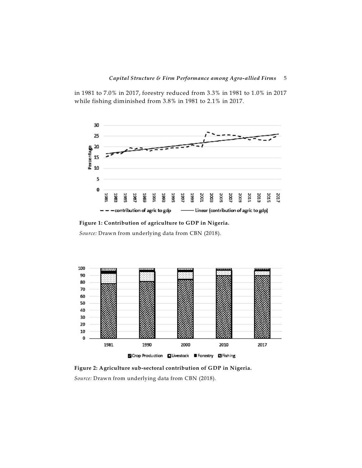in 1981 to 7.0% in 2017, forestry reduced from 3.3% in 1981 to 1.0% in 2017 while fishing diminished from 3.8% in 1981 to 2.1% in 2017.



**Figure 1: Contribution of agriculture to GDP in Nigeria.**

*Source:* Drawn from underlying data from CBN (2018).



**Figure 2: Agriculture sub-sectoral contribution of GDP in Nigeria.** *Source:* Drawn from underlying data from CBN (2018).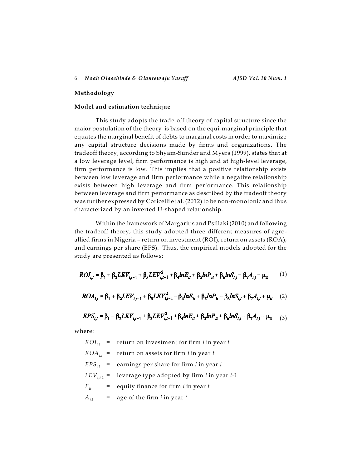### **Methodology**

# **Model and estimation technique**

This study adopts the trade-off theory of capital structure since the major postulation of the theory is based on the equi-marginal principle that equates the marginal benefit of debts to marginal costs in order to maximize any capital structure decisions made by firms and organizations. The tradeoff theory, according to Shyam-Sunder and Myers (1999), states that at a low leverage level, firm performance is high and at high-level leverage, firm performance is low. This implies that a positive relationship exists between low leverage and firm performance while a negative relationship exists between high leverage and firm performance. This relationship between leverage and firm performance as described by the tradeoff theory was further expressed by Coricelli et al. (2012) to be non-monotonic and thus characterized by an inverted U-shaped relationship.

Within the framework of Margaritis and Psillaki (2010) and following the tradeoff theory, this study adopted three different measures of agroallied firms in Nigeria – return on investment (ROI), return on assets (ROA), and earnings per share (EPS). Thus, the empirical models adopted for the study are presented as follows:

$$
ROI_{i,t} = \beta_1 + \beta_2 LEV_{i,t-1} + \beta_3 LEV_{i,t-1}^2 + \beta_4 lnE_{it} + \beta_5 lnP_{it} + \beta_6 lnS_{i,t} + \beta_7 A_{i,t} + \mu_{it} \tag{1}
$$

$$
ROA_{i,t} = \beta_1 + \beta_2 LEV_{i,t-1} + \beta_3 LEV_{i,t-1}^2 + \beta_4 lnE_{it} + \beta_5 lnP_{it} + \beta_6 lnS_{i,t} + \beta_7 A_{i,t} + \mu_{it} \quad (2)
$$

$$
EPS_{i,t} = \beta_1 + \beta_2 LEV_{i,t-1} + \beta_3 LEV_{i,t-1}^2 + \beta_4 lnE_{it} + \beta_5 lnP_{it} + \beta_6 lnS_{i,t} + \beta_7 A_{i,t} + \mu_{it} \tag{3}
$$

where:

*RO <sup>i</sup>*,*<sup>t</sup> I* = return on investment for firm *i* in year *t*  $ROA_{ij}$  = return on assets for firm *i* in year *t*  $EPS_{it}$  = earnings per share for firm *i* in year *t LEV*<sub>*i* $t_1$ </sub> = leverage type adopted by firm *i* in year *t*-1  $E_{it}$  = equity finance for firm *i* in year *t*  $A_{i,t}$  = age of the firm *i* in year *t*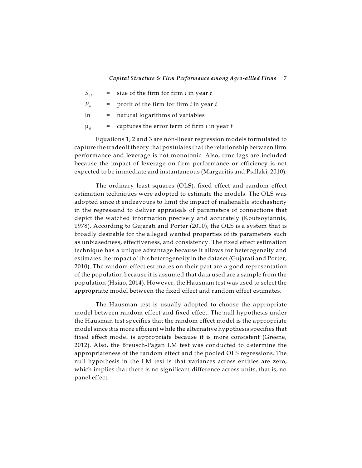#### *Capital Structure & Firm Performance among Agro-allied Firms* 7

- $S_{i,t}$  = size of the firm for firm *i* in year *t*
- $P_{it}$  = profit of the firm for firm *i* in year *t*
- $ln =$  natural logarithms of variables
- $\mu_{it}$  = captures the error term of firm *i* in year *t*

Equations 1, 2 and 3 are non-linear regression models formulated to capture the tradeoff theory that postulates that the relationship between firm performance and leverage is not monotonic. Also, time lags are included because the impact of leverage on firm performance or efficiency is not expected to be immediate and instantaneous (Margaritis and Psillaki, 2010).

The ordinary least squares (OLS), fixed effect and random effect estimation techniques were adopted to estimate the models. The OLS was adopted since it endeavours to limit the impact of inalienable stochasticity in the regressand to deliver appraisals of parameters of connections that depict the watched information precisely and accurately (Koutsoyiannis, 1978). According to Gujarati and Porter (2010), the OLS is a system that is broadly desirable for the alleged wanted properties of its parameters such as unbiasedness, effectiveness, and consistency. The fixed effect estimation technique has a unique advantage because it allows for heterogeneity and estimates the impact of this heterogeneity in the dataset (Gujarati and Porter, 2010). The random effect estimates on their part are a good representation of the population because it is assumed that data used are a sample from the population (Hsiao, 2014). However, the Hausman test was used to select the appropriate model between the fixed effect and random effect estimates.

The Hausman test is usually adopted to choose the appropriate model between random effect and fixed effect. The null hypothesis under the Hausman test specifies that the random effect model is the appropriate model since it is more efficient while the alternative hypothesis specifies that fixed effect model is appropriate because it is more consistent (Greene, 2012). Also, the Breusch-Pagan LM test was conducted to determine the appropriateness of the random effect and the pooled OLS regressions. The null hypothesis in the LM test is that variances across entities are zero, which implies that there is no significant difference across units, that is, no panel effect.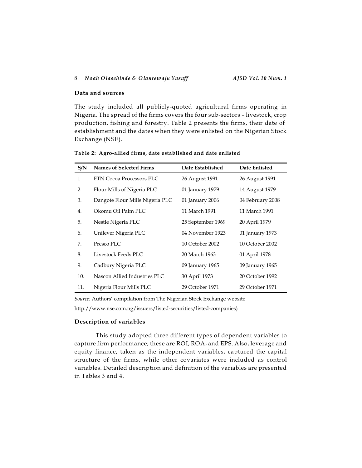## **Data and sources**

The study included all publicly-quoted agricultural firms operating in Nigeria. The spread of the firms covers the four sub-sectors – livestock, crop production, fishing and forestry. Table 2 presents the firms, their date of establishment and the dates when they were enlisted on the Nigerian Stock Exchange (NSE).

| S/N | <b>Names of Selected Firms</b>  | Date Established  | Date Enlisted    |
|-----|---------------------------------|-------------------|------------------|
| 1.  | <b>FTN Cocoa Processors PLC</b> | 26 August 1991    | 26 August 1991   |
| 2.  | Flour Mills of Nigeria PLC      | 01 January 1979   | 14 August 1979   |
| 3.  | Dangote Flour Mills Nigeria PLC | 01 January 2006   | 04 February 2008 |
| 4.  | Okomu Oil Palm PLC              | 11 March 1991     | 11 March 1991    |
| 5.  | Nestle Nigeria PLC              | 25 September 1969 | 20 April 1979    |
| 6.  | Unilever Nigeria PLC            | 04 November 1923  | 01 January 1973  |
| 7.  | Presco PLC                      | 10 October 2002   | 10 October 2002  |
| 8.  | Livestock Feeds PLC             | 20 March 1963     | 01 April 1978    |
| 9.  | Cadbury Nigeria PLC             | 09 January 1965   | 09 January 1965  |
| 10. | Nascon Allied Industries PLC    | 30 April 1973     | 20 October 1992  |
| 11. | Nigeria Flour Mills PLC         | 29 October 1971   | 29 October 1971  |

**Table 2: Agro-allied firms, date established and date enlisted**

*Source:* Authors' compilation from The Nigerian Stock Exchange website

http://www.nse.com.ng/issuers/listed-securities/listed-companies)

# **Description of variables**

This study adopted three different types of dependent variables to capture firm performance; these are ROI, ROA, and EPS. Also, leverage and equity finance, taken as the independent variables, captured the capital structure of the firms, while other covariates were included as control variables. Detailed description and definition of the variables are presented in Tables 3 and 4.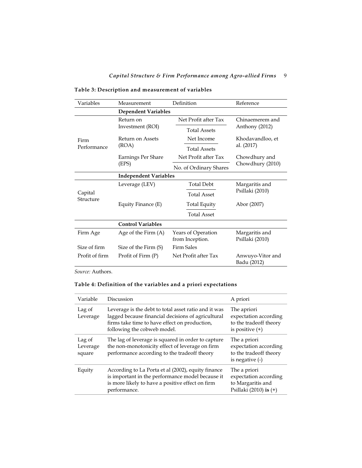| Variables            | Measurement                  | Definition                            | Reference                         |  |
|----------------------|------------------------------|---------------------------------------|-----------------------------------|--|
|                      | <b>Dependent Variables</b>   |                                       |                                   |  |
|                      | Return on                    | Net Profit after Tax                  | Chinaemerem and                   |  |
|                      | Investment (ROI)             | <b>Total Assets</b>                   | Anthony (2012)                    |  |
| Firm                 | Return on Assets             | Net Income                            | Khodavandloo, et                  |  |
| Performance          | (ROA)                        | <b>Total Assets</b>                   | al. (2017)                        |  |
|                      | Earnings Per Share           | Net Profit after Tax                  | Chowdhury and                     |  |
|                      | (EPS)                        | No. of Ordinary Shares                | Chowdhury (2010)                  |  |
|                      | <b>Independent Variables</b> |                                       |                                   |  |
|                      | Leverage (LEV)               | <b>Total Debt</b>                     | Margaritis and                    |  |
| Capital<br>Structure |                              | <b>Total Asset</b>                    | Psillaki (2010)                   |  |
|                      | Equity Finance (E)           | Total Equity                          | Abor (2007)                       |  |
|                      |                              | <b>Total Asset</b>                    |                                   |  |
|                      | <b>Control Variables</b>     |                                       |                                   |  |
| Firm Age             | Age of the Firm $(A)$        | Years of Operation<br>from Inception. | Margaritis and<br>Psillaki (2010) |  |
| Size of firm         | Size of the Firm (S)         | <b>Firm Sales</b>                     |                                   |  |
| Profit of firm       | Profit of Firm (P)           | Net Profit after Tax                  | Anwuyo-Vitor and<br>Badu (2012)   |  |

**Table 3: Description and measurement of variables**

*Source:* Authors.

# **Table 4: Definition of the variables and a priori expectations**

| Variable                     | Discussion                                                                                                                                                                                 | A priori                                                                             |
|------------------------------|--------------------------------------------------------------------------------------------------------------------------------------------------------------------------------------------|--------------------------------------------------------------------------------------|
| Lag of<br>Leverage           | Leverage is the debt to total asset ratio and it was<br>lagged because financial decisions of agricultural<br>firms take time to have effect on production,<br>following the cobweb model. | The apriori<br>expectation according<br>to the tradeoff theory<br>is positive $(+)$  |
| Lag of<br>Leverage<br>square | The lag of leverage is squared in order to capture<br>the non-monotonicity effect of leverage on firm<br>performance according to the tradeoff theory                                      | The a priori<br>expectation according<br>to the tradeoff theory<br>is negative $(-)$ |
| Equity                       | According to La Porta et al (2002), equity finance<br>is important in the performance model because it<br>is more likely to have a positive effect on firm<br>performance.                 | The a priori<br>expectation according<br>to Margaritis and<br>Psillaki (2010) is (+) |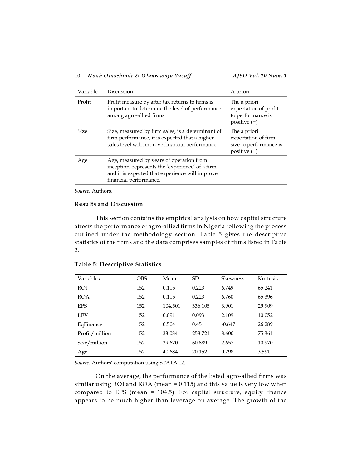| Variable    | Discussion                                                                                                                                                                | A priori                                                                        |
|-------------|---------------------------------------------------------------------------------------------------------------------------------------------------------------------------|---------------------------------------------------------------------------------|
| Profit      | Profit measure by after tax returns to firms is<br>important to determine the level of performance<br>among agro-allied firms                                             | The a priori<br>expectation of profit<br>to performance is<br>positive $(+)$    |
| <b>Size</b> | Size, measured by firm sales, is a determinant of<br>firm performance, it is expected that a higher<br>sales level will improve financial performance.                    | The a priori<br>expectation of firm<br>size to performance is<br>positive $(+)$ |
| Age         | Age, measured by years of operation from<br>inception, represents the 'experience' of a firm<br>and it is expected that experience will improve<br>financial performance. |                                                                                 |

*Source:* Authors.

# **Results and Discussion**

This section contains the empirical analysis on how capital structure affects the performance of agro-allied firms in Nigeria following the process outlined under the methodology section. Table 5 gives the descriptive statistics of the firms and the data comprises samples of firms listed in Table 2.

| Variables      | <b>OBS</b> | Mean    | <b>SD</b> | <b>Skewness</b> | Kurtosis |
|----------------|------------|---------|-----------|-----------------|----------|
| <b>ROI</b>     | 152        | 0.115   | 0.223     | 6.749           | 65.241   |
| <b>ROA</b>     | 152        | 0.115   | 0.223     | 6.760           | 65.396   |
| <b>EPS</b>     | 152        | 104.501 | 336.105   | 3.901           | 29.909   |
| LEV            | 152        | 0.091   | 0.093     | 2.109           | 10.052   |
| EqFinance      | 152        | 0.504   | 0.451     | $-0.647$        | 26.289   |
| Profit/million | 152        | 33.084  | 258.721   | 8.600           | 75.361   |
| Size/million   | 152        | 39.670  | 60.889    | 2.657           | 10.970   |
| Age            | 152        | 40.684  | 20.152    | 0.798           | 3.591    |

### **Table 5: Descriptive Statistics**

*Source:* Authors' computation using STATA 12.

On the average, the performance of the listed agro-allied firms was similar using ROI and ROA (mean = 0.115) and this value is very low when compared to EPS (mean = 104.5). For capital structure, equity finance appears to be much higher than leverage on average. The growth of the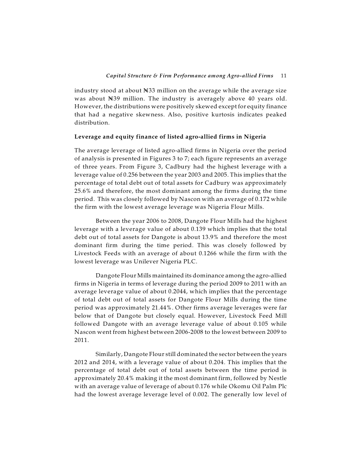industry stood at about  $\mathbb{N}^{33}$  million on the average while the average size was about N39 million. The industry is averagely above 40 years old. However, the distributions were positively skewed except for equity finance that had a negative skewness. Also, positive kurtosis indicates peaked distribution.

### **Leverage and equity finance of listed agro-allied firms in Nigeria**

The average leverage of listed agro-allied firms in Nigeria over the period of analysis is presented in Figures 3 to 7; each figure represents an average of three years. From Figure 3, Cadbury had the highest leverage with a leverage value of 0.256 between the year 2003 and 2005. This implies that the percentage of total debt out of total assets for Cadbury was approximately 25.6% and therefore, the most dominant among the firms during the time period. This was closely followed by Nascon with an average of 0.172 while the firm with the lowest average leverage was Nigeria Flour Mills.

Between the year 2006 to 2008, Dangote Flour Mills had the highest leverage with a leverage value of about 0.139 which implies that the total debt out of total assets for Dangote is about 13.9% and therefore the most dominant firm during the time period. This was closely followed by Livestock Feeds with an average of about 0.1266 while the firm with the lowest leverage was Unilever Nigeria PLC.

Dangote Flour Mills maintained its dominance among the agro-allied firms in Nigeria in terms of leverage during the period 2009 to 2011 with an average leverage value of about 0.2044, which implies that the percentage of total debt out of total assets for Dangote Flour Mills during the time period was approximately 21.44%. Other firms average leverages were far below that of Dangote but closely equal. However, Livestock Feed Mill followed Dangote with an average leverage value of about 0.105 while Nascon went from highest between 2006-2008 to the lowest between 2009 to 2011.

Similarly, Dangote Flour still dominated the sector between the years 2012 and 2014, with a leverage value of about 0.204. This implies that the percentage of total debt out of total assets between the time period is approximately 20.4% making it the most dominant firm, followed by Nestle with an average value of leverage of about 0.176 while Okomu Oil Palm Plc had the lowest average leverage level of 0.002. The generally low level of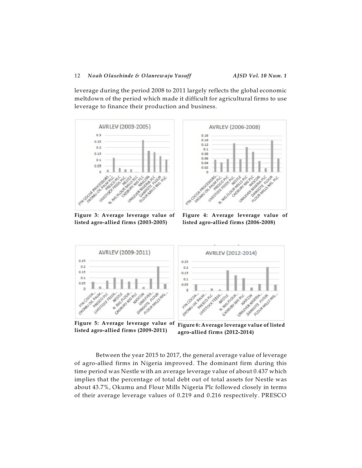leverage during the period 2008 to 2011 largely reflects the global economic meltdown of the period which made it difficult for agricultural firms to use leverage to finance their production and business.



**Figure 3: Average leverage value of listed agro-allied firms (2003-2005)**

**Figure 4: Average leverage value of listed agro-allied firms (2006-2008)**

大学院

òŠ

Nunger

October 18 FLOOR MALL S

**AB** 

**CONTRACTOR RESIDENCE** Cubaum River



**Figure 5: Average leverage value of listed agro-allied firms (2009-2011)**

**Figure 6: Average leverage value of listed agro-allied firms (2012-2014)**

Between the year 2015 to 2017, the general average value of leverage of agro-allied firms in Nigeria improved. The dominant firm during this time period was Nestle with an average leverage value of about 0.437 which implies that the percentage of total debt out of total assets for Nestle was about 43.7%, Okumu and Flour Mills Nigeria Plc followed closely in terms of their average leverage values of 0.219 and 0.216 respectively. PRESCO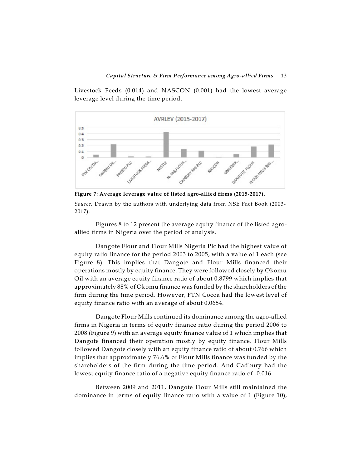Livestock Feeds (0.014) and NASCON (0.001) had the lowest average leverage level during the time period.



**Figure 7: Average leverage value of listed agro-allied firms (2015-2017).**

*Source:* Drawn by the authors with underlying data from NSE Fact Book (2003- 2017).

Figures 8 to 12 present the average equity finance of the listed agroallied firms in Nigeria over the period of analysis.

Dangote Flour and Flour Mills Nigeria Plc had the highest value of equity ratio finance for the period 2003 to 2005, with a value of 1 each (see Figure 8). This implies that Dangote and Flour Mills financed their operations mostly by equity finance. They were followed closely by Okomu Oil with an average equity finance ratio of about 0.8799 which implies that approximately 88% of Okomu finance was funded by the shareholders of the firm during the time period. However, FTN Cocoa had the lowest level of equity finance ratio with an average of about 0.0654.

Dangote Flour Mills continued its dominance among the agro-allied firms in Nigeria in terms of equity finance ratio during the period 2006 to 2008 (Figure 9) with an average equity finance value of 1 which implies that Dangote financed their operation mostly by equity finance. Flour Mills followed Dangote closely with an equity finance ratio of about 0.766 which implies that approximately 76.6% of Flour Mills finance was funded by the shareholders of the firm during the time period. And Cadbury had the lowest equity finance ratio of a negative equity finance ratio of -0.016.

Between 2009 and 2011, Dangote Flour Mills still maintained the dominance in terms of equity finance ratio with a value of 1 (Figure 10),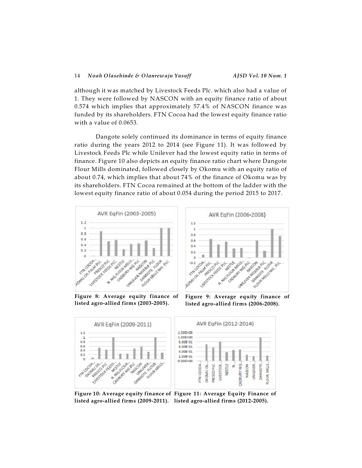although it was matched by Livestock Feeds Plc. which also had a value of 1. They were followed by NASCON with an equity finance ratio of about 0.574 which implies that approximately 57.4% of NASCON finance was funded by its shareholders. FTN Cocoa had the lowest equity finance ratio with a value of 0.0653.

Dangote solely continued its dominance in terms of equity finance ratio during the years 2012 to 2014 (see Figure 11). It was followed by Livestock Feeds Plc while Unilever had the lowest equity ratio in terms of finance. Figure 10 also depicts an equity finance ratio chart where Dangote Flour Mills dominated, followed closely by Okomu with an equity ratio of about 0.74, which implies that about 74% of the finance of Okomu was by its shareholders. FTN Cocoa remained at the bottom of the ladder with the lowest equity finance ratio of about 0.054 during the period 2015 to 2017.



AVR EqFin (2006-2008)  $1.2$  $\mathbf{1}$  $0.8$  $0.6$  $0.4$  $0.2$  $\mathbf{u}$  $\circ$ **PORTAL OFFICIAL ARTICLE PARTICULAR AVENUE** A MIS TO BRAIN AVE Cocourt Miller **MARKETON AND REAL PROPERTY** A Marion Assistance Proprietoric Richard

**Figure 8: Average equity finance of listed agro-allied firms (2003-2005).**

**Figure 9: Average equity finance of listed agro-allied firms (2006-2008).**



**Figure 10: Average equity finance of Figure 11: Average Equity Finance of listed agro-allied firms (2009-2011). listed agro-allied firms (2012-2005).**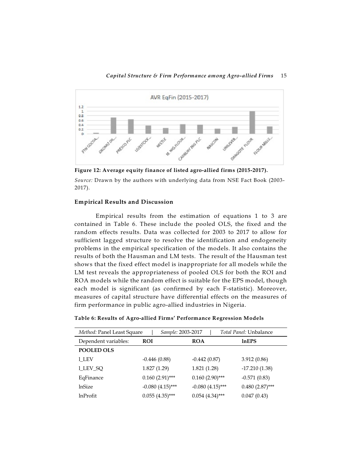

**Figure 12: Average equity finance of listed agro-allied firms (2015-2017).**

*Source:* Drawn by the authors with underlying data from NSE Fact Book (2003- 2017).

# **Empirical Results and Discussion**

Empirical results from the estimation of equations 1 to 3 are contained in Table 6. These include the pooled OLS, the fixed and the random effects results. Data was collected for 2003 to 2017 to allow for sufficient lagged structure to resolve the identification and endogeneity problems in the empirical specification of the models. It also contains the results of both the Hausman and LM tests. The result of the Hausman test shows that the fixed effect model is inappropriate for all models while the LM test reveals the appropriateness of pooled OLS for both the ROI and ROA models while the random effect is suitable for the EPS model, though each model is significant (as confirmed by each F-statistic). Moreover, measures of capital structure have differential effects on the measures of firm performance in public agro-allied industries in Nigeria.

| Method: Panel Least Square | Sample: 2003-2017  |                    | Total Panel: Unbalance |
|----------------------------|--------------------|--------------------|------------------------|
| Dependent variables:       | <b>ROI</b>         | <b>ROA</b>         | lnEPS                  |
| <b>POOLED OLS</b>          |                    |                    |                        |
| 1 LEV                      | $-0.446(0.88)$     | $-0.442(0.87)$     | 3.912(0.86)            |
| <b>LLEV_SQ</b>             | 1.827(1.29)        | 1.821(1.28)        | $-17.210(1.38)$        |
| EqFinance                  | $0.160(2.91)$ ***  | $0.160(2.90)$ ***  | $-0.571(0.83)$         |
| lnSize                     | $-0.080(4.15)$ *** | $-0.080(4.15)$ *** | $0.480(2.87)$ ***      |
| <b>lnProfit</b>            | $0.055(4.35)$ ***  | $0.054(4.34)$ ***  | 0.047(0.43)            |

**Table 6: Results of Agro-allied Firms' Performance Regression Models**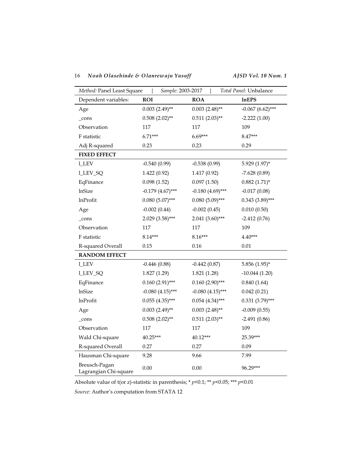| Method: Panel Least Square             | Sample: 2003-2017   |                     | Total Panel: Unbalance |
|----------------------------------------|---------------------|---------------------|------------------------|
| Dependent variables:                   | <b>ROI</b>          | <b>ROA</b>          | <b>InEPS</b>           |
| Age                                    | $0.003$ $(2.49)$ ** | $0.003$ $(2.48)$ ** | $-0.067$ (6.62)***     |
| _cons                                  | $0.508(2.02)$ **    | $0.511(2.03)$ **    | $-2.222(1.00)$         |
| Observation                            | 117                 | 117                 | 109                    |
| F statistic                            | $6.71***$           | $6.69***$           | 8.47***                |
| Adj R-squared                          | 0.23                | 0.23                | 0.29                   |
| <b>FIXED EFFECT</b>                    |                     |                     |                        |
| 1_LEV                                  | $-0.540(0.99)$      | $-0.538(0.99)$      | 5.929 (1.97)*          |
| <b>I_LEV_SQ</b>                        | 1.422(0.92)         | 1.417 (0.92)        | $-7.628(0.89)$         |
| EqFinance                              | 0.098(1.52)         | 0.097(1.50)         | $0.882(1.71)$ *        |
| <b>lnSize</b>                          | $-0.179(4.67)$ ***  | $-0.180(4.69)$ ***  | $-0.017(0.08)$         |
| <b>lnProfit</b>                        | $0.080(5.07)$ ***   | $0.080(5.09)$ ***   | $0.343$ $(3.89)$ ***   |
| Age                                    | $-0.002(0.44)$      | $-0.002(0.45)$      | 0.010(0.50)            |
| cons                                   | $2.029(3.58)***$    | $2.041(3.60)$ ***   | $-2.412(0.76)$         |
| Observation                            | 117                 | 117                 | 109                    |
| F statistic                            | $8.14***$           | $8.16***$           | 4.40***                |
| R-squared Overall                      | 0.15                | 0.16                | 0.01                   |
| <b>RANDOM EFFECT</b>                   |                     |                     |                        |
| <b>I_LEV</b>                           | $-0.446(0.88)$      | $-0.442(0.87)$      | $5.856(1.95)$ *        |
| <b>I_LEV_SQ</b>                        | 1.827(1.29)         | 1.821(1.28)         | $-10.044(1.20)$        |
| EqFinance                              | $0.160(2.91)$ ***   | $0.160(2.90)$ ***   | 0.840(1.64)            |
| lnSize                                 | $-0.080(4.15)$ ***  | $-0.080(4.15)$ ***  | 0.042(0.21)            |
| <b>lnProfit</b>                        | $0.055(4.35)$ ***   | $0.054(4.34)$ ***   | $0.331(3.79)$ ***      |
| Age                                    | $0.003$ $(2.49)$ ** | $0.003$ $(2.48)$ ** | $-0.009(0.55)$         |
| _cons                                  | $0.508(2.02)$ **    | $0.511(2.03)$ **    | $-2.491(0.86)$         |
| Observation                            | 117                 | 117                 | 109                    |
| Wald Chi-square                        | 40.25***            | 40.12***            | 25.39***               |
| R-squared Overall                      | 0.27                | 0.27                | 0.09                   |
| Hausman Chi-square                     | 9.28                | 9.66                | 7.99                   |
| Breusch-Pagan<br>Lagrangian Chi-square | 0.00                | 0.00                | 96.29***               |

Absolute value of t(or z)-statistic in parenthesis; \*  $p$  <0.1; \*\*  $p$  <0.05; \*\*\*  $p$  <0.01

*Source:* Author's computation from STATA 12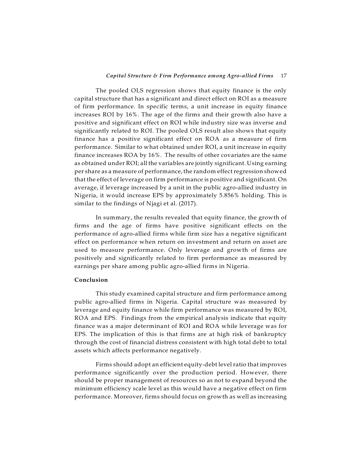### *Capital Structure & Firm Performance among Agro-allied Firms* 17

The pooled OLS regression shows that equity finance is the only capital structure that has a significant and direct effect on ROI as a measure of firm performance. In specific terms, a unit increase in equity finance increases ROI by 16%. The age of the firms and their growth also have a positive and significant effect on ROI while industry size was inverse and significantly related to ROI. The pooled OLS result also shows that equity finance has a positive significant effect on ROA as a measure of firm performance. Similar to what obtained under ROI, a unit increase in equity finance increases ROA by 16%. The results of other covariates are the same as obtained under ROI; all the variables are jointly significant. Using earning per share as a measure of performance, the random effect regression showed that the effect of leverage on firm performance is positive and significant. On average, if leverage increased by a unit in the public agro-allied industry in Nigeria, it would increase EPS by approximately 5.856% holding. This is similar to the findings of Njagi et al. (2017).

In summary, the results revealed that equity finance, the growth of firms and the age of firms have positive significant effects on the performance of agro-allied firms while firm size has a negative significant effect on performance when return on investment and return on asset are used to measure performance. Only leverage and growth of firms are positively and significantly related to firm performance as measured by earnings per share among public agro-allied firms in Nigeria.

# **Conclusion**

This study examined capital structure and firm performance among public agro-allied firms in Nigeria. Capital structure was measured by leverage and equity finance while firm performance was measured by ROI, ROA and EPS. Findings from the empirical analysis indicate that equity finance was a major determinant of ROI and ROA while leverage was for EPS. The implication of this is that firms are at high risk of bankruptcy through the cost of financial distress consistent with high total debt to total assets which affects performance negatively.

Firms should adopt an efficient equity-debt level ratio that improves performance significantly over the production period. However, there should be proper management of resources so as not to expand beyond the minimum efficiency scale level as this would have a negative effect on firm performance. Moreover, firms should focus on growth as well as increasing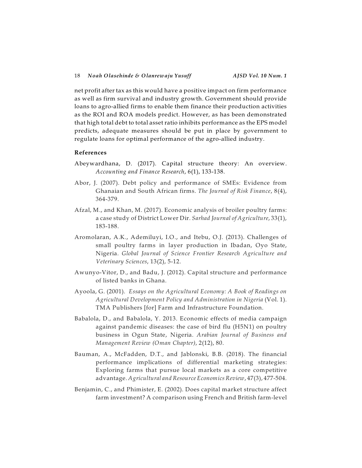net profit after tax as this would have a positive impact on firm performance as well as firm survival and industry growth. Government should provide loans to agro-allied firms to enable them finance their production activities as the ROI and ROA models predict. However, as has been demonstrated that high total debt to total asset ratio inhibits performance as the EPS model predicts, adequate measures should be put in place by government to regulate loans for optimal performance of the agro-allied industry.

### **References**

- Abeywardhana, D. (2017). Capital structure theory: An overview. *Accounting and Finance Research*, 6(1), 133-138.
- Abor, J. (2007). Debt policy and performance of SMEs: Evidence from Ghanaian and South African firms. *The Journal of Risk Finance*, 8(4), 364-379.
- Afzal, M., and Khan, M. (2017). Economic analysis of broiler poultry farms: a case study of District Lower Dir. *Sarhad Journal of Agriculture*, 33(1), 183-188.
- Aromolaran, A.K., Ademiluyi, I.O., and Itebu, O.J. (2013). Challenges of small poultry farms in layer production in Ibadan, Oyo State, Nigeria. *Global Journal of Science Frontier Research Agriculture and Veterinary Sciences*, 13(2), 5-12.
- Awunyo-Vitor, D., and Badu, J. (2012). Capital structure and performance of listed banks in Ghana.
- Ayoola, G. (2001). *Essays on the Agricultural Economy: A Book of Readings on Agricultural Development Policy and Administration in Nigeria* (Vol. 1). TMA Publishers [for] Farm and Infrastructure Foundation.
- Babalola, D., and Babalola, Y. 2013. Economic effects of media campaign against pandemic diseases: the case of bird flu (H5N1) on poultry business in Ogun State, Nigeria. *Arabian Journal of Business and Management Review (Oman Chapter)*, 2(12), 80.
- Bauman, A., McFadden, D.T., and Jablonski, B.B. (2018). The financial performance implications of differential marketing strategies: Exploring farms that pursue local markets as a core competitive advantage. *Agricultural and Resource Economics Review*, 47(3), 477-504.
- Benjamin, C., and Phimister, E. (2002). Does capital market structure affect farm investment? A comparison using French and British farm-level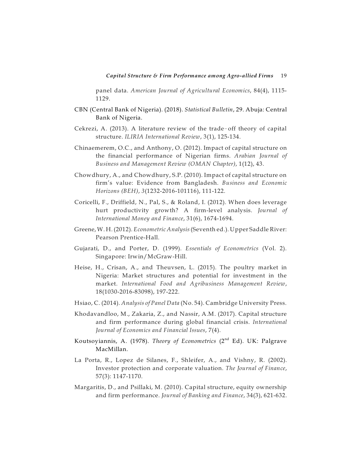panel data. *American Journal of Agricultural Economics*, 84(4), 1115- 1129.

- CBN (Central Bank of Nigeria). (2018). *Statistical Bulletin*, 29. Abuja: Central Bank of Nigeria.
- Cekrezi, A.  $(2013)$ . A literature review of the trade-off theory of capital structure. *ILIRIA International Review*, 3(1), 125-134.
- Chinaemerem, O.C., and Anthony, O. (2012). Impact of capital structure on the financial performance of Nigerian firms. *Arabian Journal of Business and Management Review (OMAN Chapter)*, 1(12), 43.
- Chowdhury, A., and Chowdhury, S.P. (2010). Impact of capital structure on firm's value: Evidence from Bangladesh. *Business and Economic Horizons (BEH)*, *3*(1232-2016-101116), 111-122.
- Coricelli, F., Driffield, N., Pal, S., & Roland, I. (2012). When does leverage hurt productivity growth? A firm-level analysis. *Journal of International Money and Finance*, 31(6), 1674-1694.
- Greene,W. H. (2012). *Econometric Analysis*(Seventh ed.). Upper Saddle River: Pearson Prentice-Hall.
- Gujarati, D., and Porter, D. (1999). *Essentials of Econometrics* (Vol. 2). Singapore: Irwin/McGraw-Hill.
- Heise, H., Crisan, A., and Theuvsen, L. (2015). The poultry market in Nigeria: Market structures and potential for investment in the market. *International Food and Agribusiness Management Review*, 18(1030-2016-83098), 197-222.
- Hsiao, C. (2014). *Analysis of Panel Data* (No. 54). Cambridge University Press.
- Khodavandloo, M., Zakaria, Z., and Nassir, A.M. (2017). Capital structure and firm performance during global financial crisis. *International Journal of Economics and Financial Issues*, 7(4).
- Koutsoyiannis*,* A. (1978). *Theory of Econometrics* (2<sup>nd</sup> Ed). UK: Palgrave MacMillan.
- La Porta, R., Lopez de Silanes, F., Shleifer, A., and Vishny, R. (2002). Investor protection and corporate valuation. *The Journal of Finance*, 57(3): 1147-1170.
- Margaritis, D., and Psillaki, M. (2010). Capital structure, equity ownership and firm performance. *Journal of Banking and Finance*, 34(3), 621-632.